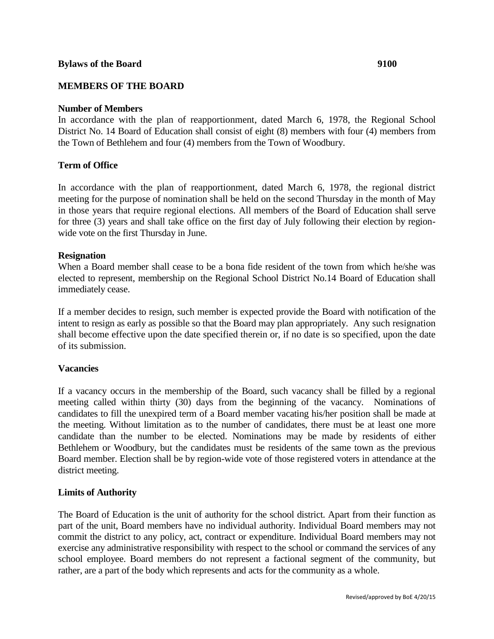# **MEMBERS OF THE BOARD**

## **Number of Members**

In accordance with the plan of reapportionment, dated March 6, 1978, the Regional School District No. 14 Board of Education shall consist of eight (8) members with four (4) members from the Town of Bethlehem and four (4) members from the Town of Woodbury.

## **Term of Office**

In accordance with the plan of reapportionment, dated March 6, 1978, the regional district meeting for the purpose of nomination shall be held on the second Thursday in the month of May in those years that require regional elections. All members of the Board of Education shall serve for three (3) years and shall take office on the first day of July following their election by regionwide vote on the first Thursday in June.

## **Resignation**

When a Board member shall cease to be a bona fide resident of the town from which he/she was elected to represent, membership on the Regional School District No.14 Board of Education shall immediately cease.

If a member decides to resign, such member is expected provide the Board with notification of the intent to resign as early as possible so that the Board may plan appropriately. Any such resignation shall become effective upon the date specified therein or, if no date is so specified, upon the date of its submission.

## **Vacancies**

If a vacancy occurs in the membership of the Board, such vacancy shall be filled by a regional meeting called within thirty (30) days from the beginning of the vacancy. Nominations of candidates to fill the unexpired term of a Board member vacating his/her position shall be made at the meeting. Without limitation as to the number of candidates, there must be at least one more candidate than the number to be elected. Nominations may be made by residents of either Bethlehem or Woodbury, but the candidates must be residents of the same town as the previous Board member. Election shall be by region-wide vote of those registered voters in attendance at the district meeting.

## **Limits of Authority**

The Board of Education is the unit of authority for the school district. Apart from their function as part of the unit, Board members have no individual authority. Individual Board members may not commit the district to any policy, act, contract or expenditure. Individual Board members may not exercise any administrative responsibility with respect to the school or command the services of any school employee. Board members do not represent a factional segment of the community, but rather, are a part of the body which represents and acts for the community as a whole.